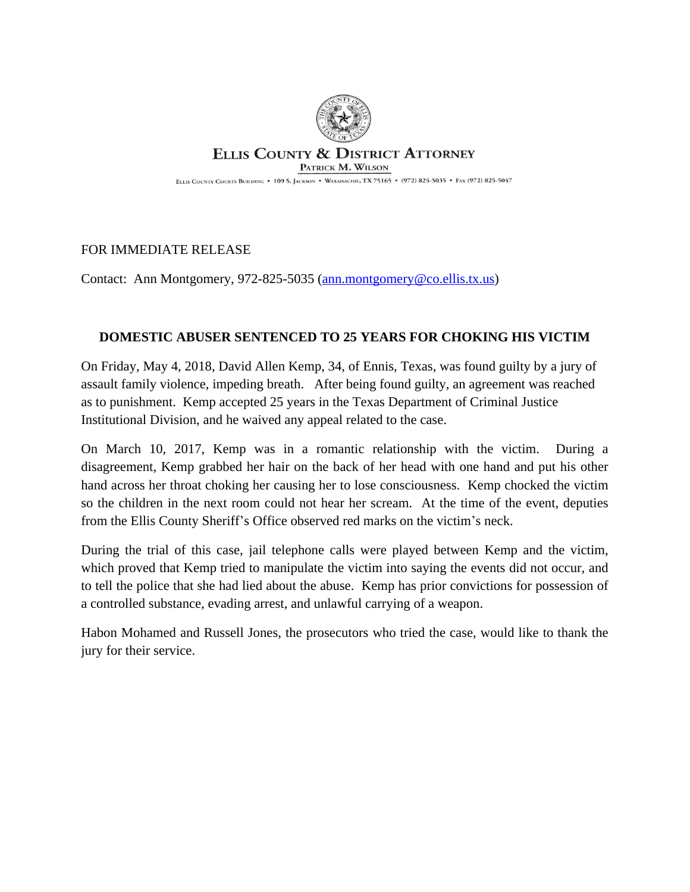

## **ELLIS COUNTY & DISTRICT ATTORNEY** PATRICK M. WILSON

ELLIS COUNTY COURTS BUILDING . 109 S. JACKSON . WAXAHACHIE, TX 75165 . (972) 825-5035 . FAX (972) 825-5047

## FOR IMMEDIATE RELEASE

Contact: Ann Montgomery, 972-825-5035 ([ann.montgomery@co.ellis.tx.us](mailto:ann.montgomery@co.ellis.tx.us))

## **DOMESTIC ABUSER SENTENCED TO 25 YEARS FOR CHOKING HIS VICTIM**

On Friday, May 4, 2018, David Allen Kemp, 34, of Ennis, Texas, was found guilty by a jury of assault family violence, impeding breath. After being found guilty, an agreement was reached as to punishment. Kemp accepted 25 years in the Texas Department of Criminal Justice Institutional Division, and he waived any appeal related to the case.

On March 10, 2017, Kemp was in a romantic relationship with the victim. During a disagreement, Kemp grabbed her hair on the back of her head with one hand and put his other hand across her throat choking her causing her to lose consciousness. Kemp chocked the victim so the children in the next room could not hear her scream. At the time of the event, deputies from the Ellis County Sheriff's Office observed red marks on the victim's neck.

During the trial of this case, jail telephone calls were played between Kemp and the victim, which proved that Kemp tried to manipulate the victim into saying the events did not occur, and to tell the police that she had lied about the abuse. Kemp has prior convictions for possession of a controlled substance, evading arrest, and unlawful carrying of a weapon.

Habon Mohamed and Russell Jones, the prosecutors who tried the case, would like to thank the jury for their service.